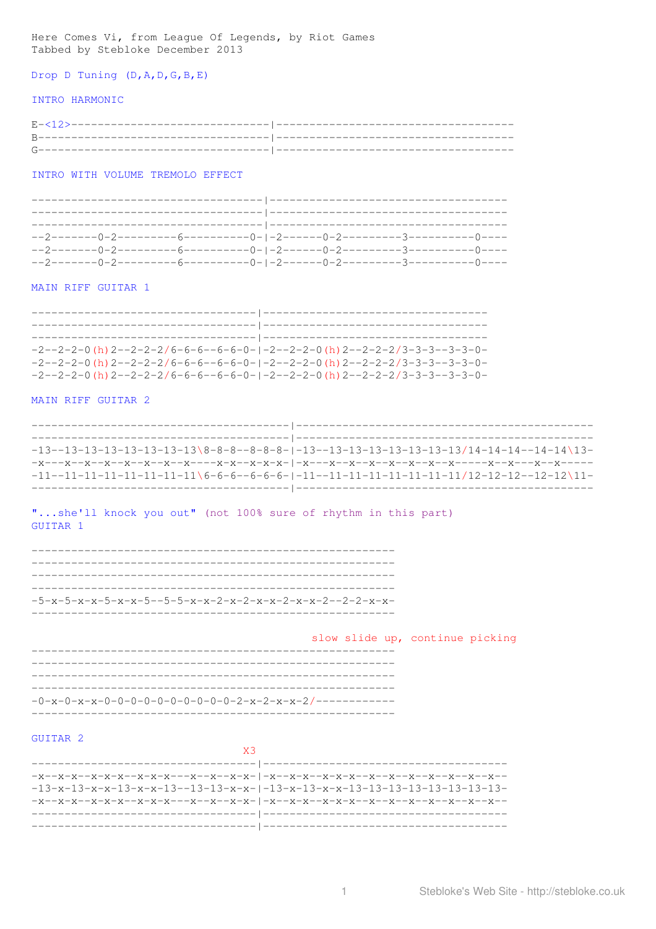Here Comes Vi, from League Of Legends, by Riot Games<br>Tabbed by Stebloke December 2013

Drop D Tuning  $(D, A, D, G, B, E)$ 

## INTRO HARMONIC

| $R$ ---------<br>,我们也不会有什么。""我们的人,我们也不会有什么?""我们的人,我们也不会有什么?""我们的人,我们也不会有什么?""我们的人,我们也不会有什么?""我们的                          |  |
|---------------------------------------------------------------------------------------------------------------------------|--|
| the contract of the contract of the contract of the contract of the contract of the contract of the contract of<br>$\sim$ |  |

INTRO WITH VOLUME TREMOLO EFFECT

# MAIN RIFF GUITAR 1

| $-2-2-2-0$ (h) $2-2-2-2/6-6-6-6-6-0-1-2-2-2-0$ (h) $2-2-2-2/3-3-3-3-3-0-$ |
|---------------------------------------------------------------------------|
| $-2-2-2-0$ (h) $2-2-2-2/6-6-6-6-6-0-1-2-2-2-0$ (h) $2-2-2-2/3-3-3-3-3-0-$ |
| $-2-2-2-0$ (h) $2-2-2-2/6-6-6-6-6-0-1-2-2-2-0$ (h) $2-2-2-2/3-3-3-3-3-0-$ |

# MAIN RIFF GUITAR 2

| $-13-13-13-13-13-13-13-13\$ 8-8-8-8-8-8-1-13-13-13-13-13-13-13-13/14-14-14-14-14 $-14-14-14$            |
|---------------------------------------------------------------------------------------------------------|
|                                                                                                         |
| $-11-11-11-11-11-11-11-11\backslash 6-6-6-6-6-6-1-11-11-11-11-11-11-11-11/12-12-12-12-12\backslash 11-$ |
|                                                                                                         |

"...she'll knock you out" (not 100% sure of rhythm in this part) GUITAR 1

|  | $-5-x-5-x-x-5-x-x-5-5-5-x-x-2-x-2-x-x-2-x-x-2-2-2-x-x-$ |  |
|--|---------------------------------------------------------|--|

|                                                          |  | slow slide up, continue picking |  |
|----------------------------------------------------------|--|---------------------------------|--|
|                                                          |  |                                 |  |
|                                                          |  |                                 |  |
|                                                          |  |                                 |  |
| $-0-x-0-x-x-0-0-0-0-0-0-0-0-0-0-0-2-x-2-x-x-2/---------$ |  |                                 |  |
|                                                          |  |                                 |  |

# GUITAR 2

| $-\mathtt{x}\mathtt{-}\mathtt{x}\mathtt{-}\mathtt{x}\mathtt{-}\mathtt{x}\mathtt{-}\mathtt{x}\mathtt{-}\mathtt{x}\mathtt{-}\mathtt{x}\mathtt{-}\mathtt{x}\mathtt{-}\mathtt{x}\mathtt{-}\mathtt{x}\mathtt{-}\mathtt{x}\mathtt{-}\mathtt{x}\mathtt{-}\mathtt{x}\mathtt{-}\mathtt{x}\mathtt{-}\mathtt{x}\mathtt{-}\mathtt{x}\mathtt{-}\mathtt{x}\mathtt{-}\mathtt{x}\mathtt{-}\mathtt{x}\mathtt{-}\mathtt{x}\mathtt{-}\mathtt{x}\mathtt{-}\mathtt{x}\mathtt{-}\mathtt{x}\mathtt{-}\mathtt{x}\mathtt{-}\mathtt{x}\mathtt{-}\mathtt{x}\mathtt{-}\mathtt{x}\mathtt{-}\mathtt{x$ |
|--------------------------------------------------------------------------------------------------------------------------------------------------------------------------------------------------------------------------------------------------------------------------------------------------------------------------------------------------------------------------------------------------------------------------------------------------------------------------------------------------------------------------------------------------------------------------|
|                                                                                                                                                                                                                                                                                                                                                                                                                                                                                                                                                                          |
| $-x-x-x-x-x-x-x-x-x-x-x-x-x-x- $                                                                                                                                                                                                                                                                                                                                                                                                                                                                                                                                         |
|                                                                                                                                                                                                                                                                                                                                                                                                                                                                                                                                                                          |
|                                                                                                                                                                                                                                                                                                                                                                                                                                                                                                                                                                          |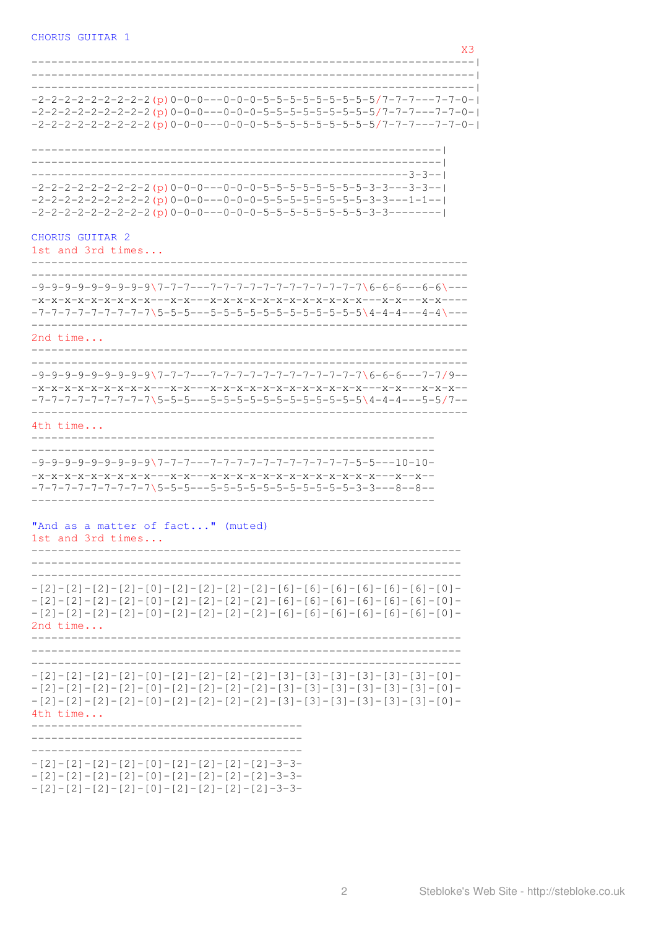|                                                                                                                                                                                                                                         | XЗ |
|-----------------------------------------------------------------------------------------------------------------------------------------------------------------------------------------------------------------------------------------|----|
| $-2-2-2-2-2-2-2-2$ (p) $0-0-0-0-0-0-0-5-5-5-5-5-5-5-5-5/7-7-7-7-7-0-1$<br>$-2-2-2-2-2-2-2-2$ (p) $0-0-0-0-0-0-0-5-5-5-5-5-5-5-5-5/7-7-7-7-7-0-1$<br>$-2-2-2-2-2-2-2-2$ (p) $0-0-0-0-0-0-5-5-5-5-5-5-5-5-5-5/7-7-7-7-0-1$                |    |
| $-2-2-2-2-2-2-2-2-2$ (p) $0-0-0-0-0-0-5-5-5-5-5-5-5-5-3-3-3-3-1$<br>$-2-2-2-2-2-2-2-2$ (p) $0-0-0$ ---0-0-5-5-5-5-5-5-5-5-5-3-3---1-1--<br>$-2-2-2-2-2-2-2-2-2$ (p) $0-0-0-0-0-0-5-5-5-5-5-5-5-5-3-3-3-1$                               |    |
| CHORUS GUITAR 2<br>1st and 3rd times                                                                                                                                                                                                    |    |
|                                                                                                                                                                                                                                         |    |
| 2nd $time$                                                                                                                                                                                                                              |    |
| $-7-7-7-7-7-7-7-7$ $-5-5-5-5-5-5-5-5-5-5-5-5-5-5-5-5$ $-4-4-4-4-5-5/7-1$                                                                                                                                                                |    |
| 4th time                                                                                                                                                                                                                                |    |
|                                                                                                                                                                                                                                         |    |
| "And as a matter of fact" (muted)<br>lst and 3rd times                                                                                                                                                                                  |    |
| $-[2] - [2] - [2] - [2] - [0] - [2] - [2] - [2] - [2] - [6] - [6] - [6] - [6] - [6] - [6] - [6] - [0] - [6]$<br>$-$ [2] - [2] - [2] - [2] - [0] - [2] - [2] - [2] - [2] - [6] - [6] - [6] - [6] - [6] - [6] - [6] - [0] -<br>2nd $time$ |    |
| 4th time                                                                                                                                                                                                                                |    |
| $-[2]-[2]-[2]-[2]-[0]-[2]-[2]-[2]-[2]-[2]-3-3-$<br>$-[2]-[2]-[2]-[2]-[0]-[2]-[2]-[2]-[2]-[2]-3-3-$<br>$-[2]-[2]-[2]-[2]-[0]-[2]-[2]-[2]-[2]-[2]-3-3-$                                                                                   |    |

Stebloke's Web Site - http://stebloke.co.uk